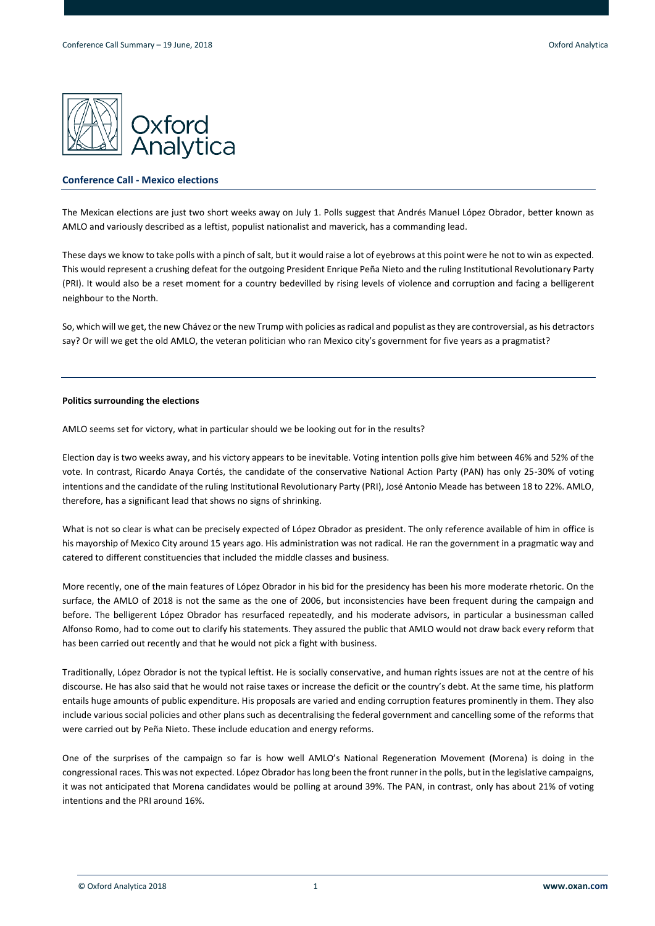

## **Conference Call - Mexico elections**

The Mexican elections are just two short weeks away on July 1. Polls suggest that Andrés Manuel López Obrador, better known as AMLO and variously described as a leftist, populist nationalist and maverick, has a commanding lead.

These days we know to take polls with a pinch of salt, but it would raise a lot of eyebrows at this point were he not to win as expected. This would represent a crushing defeat for the outgoing President Enrique Peña Nieto and the ruling Institutional Revolutionary Party (PRI). It would also be a reset moment for a country bedevilled by rising levels of violence and corruption and facing a belligerent neighbour to the North.

So, which will we get, the new Chávez or the new Trump with policies as radical and populist as they are controversial, as his detractors say? Or will we get the old AMLO, the veteran politician who ran Mexico city's government for five years as a pragmatist?

#### **Politics surrounding the elections**

AMLO seems set for victory, what in particular should we be looking out for in the results?

Election day is two weeks away, and his victory appears to be inevitable. Voting intention polls give him between 46% and 52% of the vote. In contrast, Ricardo Anaya Cortés, the candidate of the conservative National Action Party (PAN) has only 25-30% of voting intentions and the candidate of the ruling Institutional Revolutionary Party (PRI), José Antonio Meade has between 18 to 22%. AMLO, therefore, has a significant lead that shows no signs of shrinking.

What is not so clear is what can be precisely expected of López Obrador as president. The only reference available of him in office is his mayorship of Mexico City around 15 years ago. His administration was not radical. He ran the government in a pragmatic way and catered to different constituencies that included the middle classes and business.

More recently, one of the main features of López Obrador in his bid for the presidency has been his more moderate rhetoric. On the surface, the AMLO of 2018 is not the same as the one of 2006, but inconsistencies have been frequent during the campaign and before. The belligerent López Obrador has resurfaced repeatedly, and his moderate advisors, in particular a businessman called Alfonso Romo, had to come out to clarify his statements. They assured the public that AMLO would not draw back every reform that has been carried out recently and that he would not pick a fight with business.

Traditionally, López Obrador is not the typical leftist. He is socially conservative, and human rights issues are not at the centre of his discourse. He has also said that he would not raise taxes or increase the deficit or the country's debt. At the same time, his platform entails huge amounts of public expenditure. His proposals are varied and ending corruption features prominently in them. They also include various social policies and other plans such as decentralising the federal government and cancelling some of the reforms that were carried out by Peña Nieto. These include education and energy reforms.

One of the surprises of the campaign so far is how well AMLO's National Regeneration Movement (Morena) is doing in the congressional races. This was not expected. López Obrador has long been the front runner in the polls, but in the legislative campaigns, it was not anticipated that Morena candidates would be polling at around 39%. The PAN, in contrast, only has about 21% of voting intentions and the PRI around 16%.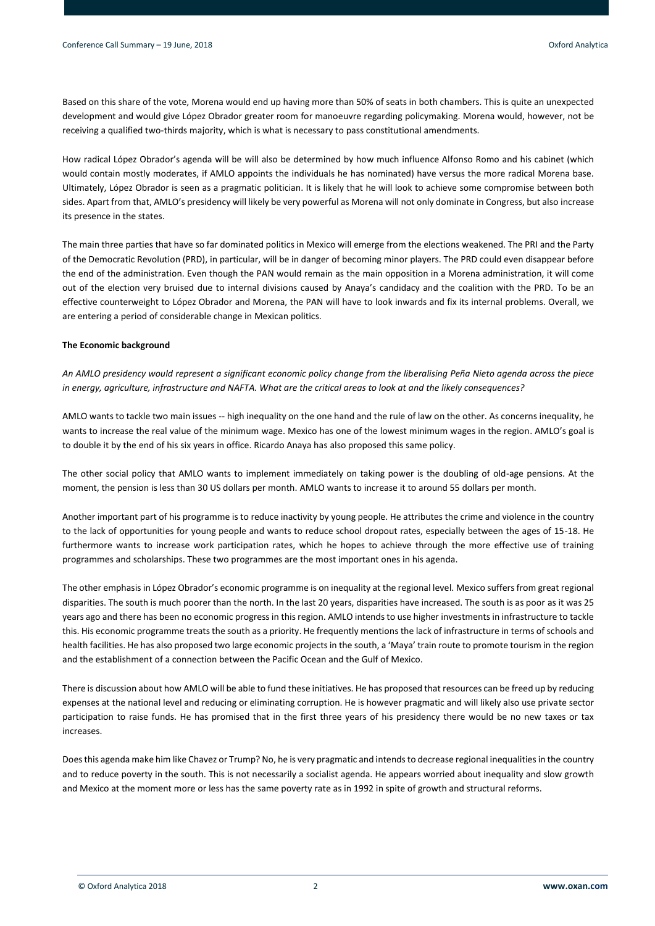Based on this share of the vote, Morena would end up having more than 50% of seats in both chambers. This is quite an unexpected development and would give López Obrador greater room for manoeuvre regarding policymaking. Morena would, however, not be receiving a qualified two-thirds majority, which is what is necessary to pass constitutional amendments.

How radical López Obrador's agenda will be will also be determined by how much influence Alfonso Romo and his cabinet (which would contain mostly moderates, if AMLO appoints the individuals he has nominated) have versus the more radical Morena base. Ultimately, López Obrador is seen as a pragmatic politician. It is likely that he will look to achieve some compromise between both sides. Apart from that, AMLO's presidency will likely be very powerful as Morena will not only dominate in Congress, but also increase its presence in the states.

The main three parties that have so far dominated politics in Mexico will emerge from the elections weakened. The PRI and the Party of the Democratic Revolution (PRD), in particular, will be in danger of becoming minor players. The PRD could even disappear before the end of the administration. Even though the PAN would remain as the main opposition in a Morena administration, it will come out of the election very bruised due to internal divisions caused by Anaya's candidacy and the coalition with the PRD. To be an effective counterweight to López Obrador and Morena, the PAN will have to look inwards and fix its internal problems. Overall, we are entering a period of considerable change in Mexican politics.

## **The Economic background**

*An AMLO presidency would represent a significant economic policy change from the liberalising Peña Nieto agenda across the piece in energy, agriculture, infrastructure and NAFTA. What are the critical areas to look at and the likely consequences?*

AMLO wants to tackle two main issues -- high inequality on the one hand and the rule of law on the other. As concerns inequality, he wants to increase the real value of the minimum wage. Mexico has one of the lowest minimum wages in the region. AMLO's goal is to double it by the end of his six years in office. Ricardo Anaya has also proposed this same policy.

The other social policy that AMLO wants to implement immediately on taking power is the doubling of old-age pensions. At the moment, the pension is less than 30 US dollars per month. AMLO wants to increase it to around 55 dollars per month.

Another important part of his programme is to reduce inactivity by young people. He attributes the crime and violence in the country to the lack of opportunities for young people and wants to reduce school dropout rates, especially between the ages of 15-18. He furthermore wants to increase work participation rates, which he hopes to achieve through the more effective use of training programmes and scholarships. These two programmes are the most important ones in his agenda.

The other emphasis in López Obrador's economic programme is on inequality at the regional level. Mexico suffers from great regional disparities. The south is much poorer than the north. In the last 20 years, disparities have increased. The south is as poor as it was 25 years ago and there has been no economic progress in this region. AMLO intends to use higher investments in infrastructure to tackle this. His economic programme treats the south as a priority. He frequently mentions the lack of infrastructure in terms of schools and health facilities. He has also proposed two large economic projects in the south, a 'Maya' train route to promote tourism in the region and the establishment of a connection between the Pacific Ocean and the Gulf of Mexico.

There is discussion about how AMLO will be able to fund these initiatives. He has proposed that resources can be freed up by reducing expenses at the national level and reducing or eliminating corruption. He is however pragmatic and will likely also use private sector participation to raise funds. He has promised that in the first three years of his presidency there would be no new taxes or tax increases.

Does this agenda make him like Chavez or Trump? No, he is very pragmatic and intends to decrease regional inequalities in the country and to reduce poverty in the south. This is not necessarily a socialist agenda. He appears worried about inequality and slow growth and Mexico at the moment more or less has the same poverty rate as in 1992 in spite of growth and structural reforms.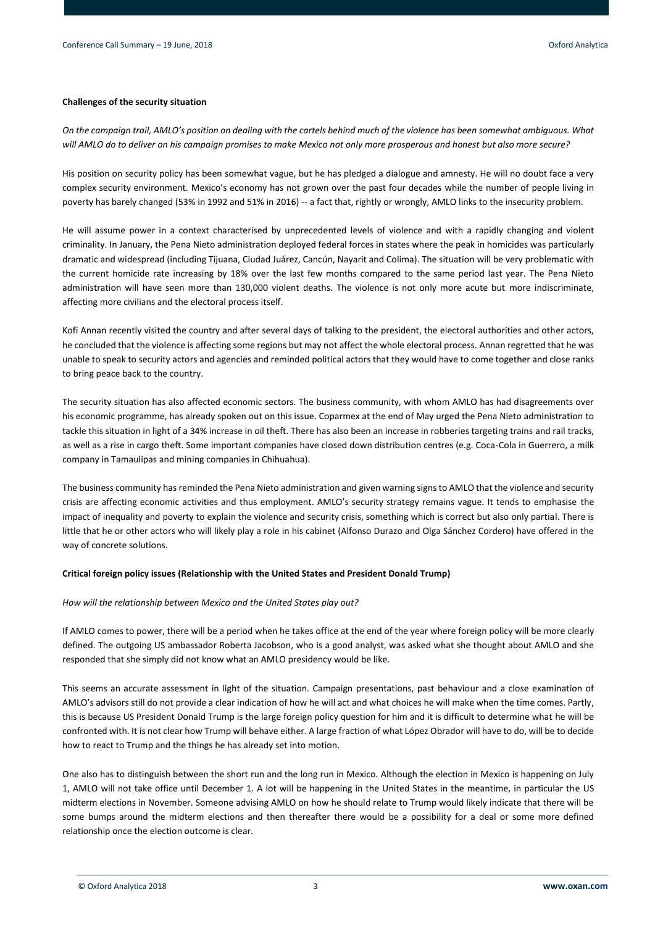## **Challenges of the security situation**

*On the campaign trail, AMLO's position on dealing with the cartels behind much of the violence has been somewhat ambiguous. What will AMLO do to deliver on his campaign promises to make Mexico not only more prosperous and honest but also more secure?*

His position on security policy has been somewhat vague, but he has pledged a dialogue and amnesty. He will no doubt face a very complex security environment. Mexico's economy has not grown over the past four decades while the number of people living in poverty has barely changed (53% in 1992 and 51% in 2016) -- a fact that, rightly or wrongly, AMLO links to the insecurity problem.

He will assume power in a context characterised by unprecedented levels of violence and with a rapidly changing and violent criminality. In January, the Pena Nieto administration deployed federal forces in states where the peak in homicides was particularly dramatic and widespread (including Tijuana, Ciudad Juárez, Cancún, Nayarit and Colima). The situation will be very problematic with the current homicide rate increasing by 18% over the last few months compared to the same period last year. The Pena Nieto administration will have seen more than 130,000 violent deaths. The violence is not only more acute but more indiscriminate, affecting more civilians and the electoral process itself.

Kofi Annan recently visited the country and after several days of talking to the president, the electoral authorities and other actors, he concluded that the violence is affecting some regions but may not affect the whole electoral process. Annan regretted that he was unable to speak to security actors and agencies and reminded political actors that they would have to come together and close ranks to bring peace back to the country.

The security situation has also affected economic sectors. The business community, with whom AMLO has had disagreements over his economic programme, has already spoken out on this issue. Coparmex at the end of May urged the Pena Nieto administration to tackle this situation in light of a 34% increase in oil theft. There has also been an increase in robberies targeting trains and rail tracks, as well as a rise in cargo theft. Some important companies have closed down distribution centres (e.g. Coca-Cola in Guerrero, a milk company in Tamaulipas and mining companies in Chihuahua).

The business community has reminded the Pena Nieto administration and given warning signs to AMLO that the violence and security crisis are affecting economic activities and thus employment. AMLO's security strategy remains vague. It tends to emphasise the impact of inequality and poverty to explain the violence and security crisis, something which is correct but also only partial. There is little that he or other actors who will likely play a role in his cabinet (Alfonso Durazo and Olga Sánchez Cordero) have offered in the way of concrete solutions.

## **Critical foreign policy issues (Relationship with the United States and President Donald Trump)**

#### *How will the relationship between Mexico and the United States play out?*

If AMLO comes to power, there will be a period when he takes office at the end of the year where foreign policy will be more clearly defined. The outgoing US ambassador Roberta Jacobson, who is a good analyst, was asked what she thought about AMLO and she responded that she simply did not know what an AMLO presidency would be like.

This seems an accurate assessment in light of the situation. Campaign presentations, past behaviour and a close examination of AMLO's advisors still do not provide a clear indication of how he will act and what choices he will make when the time comes. Partly, this is because US President Donald Trump is the large foreign policy question for him and it is difficult to determine what he will be confronted with. It is not clear how Trump will behave either. A large fraction of what López Obrador will have to do, will be to decide how to react to Trump and the things he has already set into motion.

One also has to distinguish between the short run and the long run in Mexico. Although the election in Mexico is happening on July 1, AMLO will not take office until December 1. A lot will be happening in the United States in the meantime, in particular the US midterm elections in November. Someone advising AMLO on how he should relate to Trump would likely indicate that there will be some bumps around the midterm elections and then thereafter there would be a possibility for a deal or some more defined relationship once the election outcome is clear.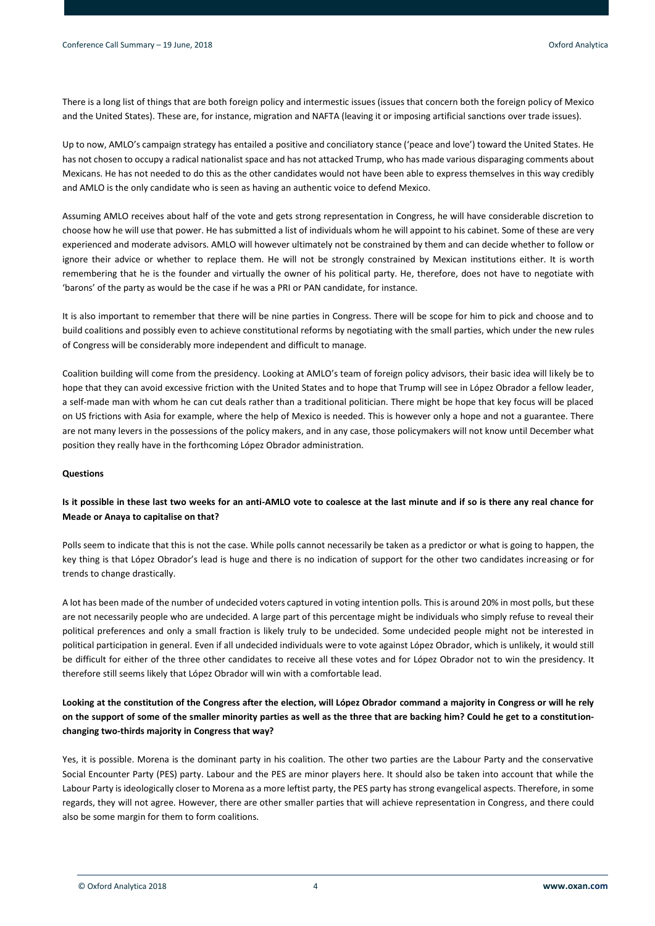There is a long list of things that are both foreign policy and intermestic issues (issues that concern both the foreign policy of Mexico and the United States). These are, for instance, migration and NAFTA (leaving it or imposing artificial sanctions over trade issues).

Up to now, AMLO's campaign strategy has entailed a positive and conciliatory stance ('peace and love') toward the United States. He has not chosen to occupy a radical nationalist space and has not attacked Trump, who has made various disparaging comments about Mexicans. He has not needed to do this as the other candidates would not have been able to express themselves in this way credibly and AMLO is the only candidate who is seen as having an authentic voice to defend Mexico.

Assuming AMLO receives about half of the vote and gets strong representation in Congress, he will have considerable discretion to choose how he will use that power. He has submitted a list of individuals whom he will appoint to his cabinet. Some of these are very experienced and moderate advisors. AMLO will however ultimately not be constrained by them and can decide whether to follow or ignore their advice or whether to replace them. He will not be strongly constrained by Mexican institutions either. It is worth remembering that he is the founder and virtually the owner of his political party. He, therefore, does not have to negotiate with 'barons' of the party as would be the case if he was a PRI or PAN candidate, for instance.

It is also important to remember that there will be nine parties in Congress. There will be scope for him to pick and choose and to build coalitions and possibly even to achieve constitutional reforms by negotiating with the small parties, which under the new rules of Congress will be considerably more independent and difficult to manage.

Coalition building will come from the presidency. Looking at AMLO's team of foreign policy advisors, their basic idea will likely be to hope that they can avoid excessive friction with the United States and to hope that Trump will see in López Obrador a fellow leader, a self-made man with whom he can cut deals rather than a traditional politician. There might be hope that key focus will be placed on US frictions with Asia for example, where the help of Mexico is needed. This is however only a hope and not a guarantee. There are not many levers in the possessions of the policy makers, and in any case, those policymakers will not know until December what position they really have in the forthcoming López Obrador administration.

#### **Questions**

## **Is it possible in these last two weeks for an anti-AMLO vote to coalesce at the last minute and if so is there any real chance for Meade or Anaya to capitalise on that?**

Polls seem to indicate that this is not the case. While polls cannot necessarily be taken as a predictor or what is going to happen, the key thing is that López Obrador's lead is huge and there is no indication of support for the other two candidates increasing or for trends to change drastically.

A lot has been made of the number of undecided voters captured in voting intention polls. This is around 20% in most polls, but these are not necessarily people who are undecided. A large part of this percentage might be individuals who simply refuse to reveal their political preferences and only a small fraction is likely truly to be undecided. Some undecided people might not be interested in political participation in general. Even if all undecided individuals were to vote against López Obrador, which is unlikely, it would still be difficult for either of the three other candidates to receive all these votes and for López Obrador not to win the presidency. It therefore still seems likely that López Obrador will win with a comfortable lead.

# **Looking at the constitution of the Congress after the election, will López Obrador command a majority in Congress or will he rely on the support of some of the smaller minority parties as well as the three that are backing him? Could he get to a constitutionchanging two-thirds majority in Congress that way?**

Yes, it is possible. Morena is the dominant party in his coalition. The other two parties are the Labour Party and the conservative Social Encounter Party (PES) party. Labour and the PES are minor players here. It should also be taken into account that while the Labour Party is ideologically closer to Morena as a more leftist party, the PES party has strong evangelical aspects. Therefore, in some regards, they will not agree. However, there are other smaller parties that will achieve representation in Congress, and there could also be some margin for them to form coalitions.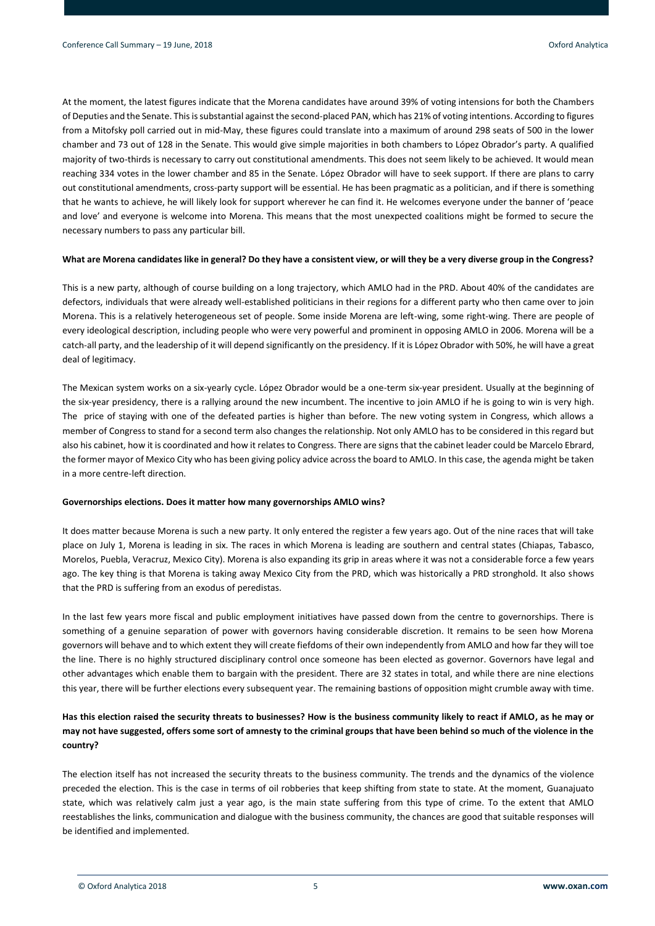At the moment, the latest figures indicate that the Morena candidates have around 39% of voting intensions for both the Chambers of Deputies and the Senate. This is substantial against the second-placed PAN, which has 21% of voting intentions. According to figures from a Mitofsky poll carried out in mid-May, these figures could translate into a maximum of around 298 seats of 500 in the lower chamber and 73 out of 128 in the Senate. This would give simple majorities in both chambers to López Obrador's party. A qualified majority of two-thirds is necessary to carry out constitutional amendments. This does not seem likely to be achieved. It would mean reaching 334 votes in the lower chamber and 85 in the Senate. López Obrador will have to seek support. If there are plans to carry out constitutional amendments, cross-party support will be essential. He has been pragmatic as a politician, and if there is something that he wants to achieve, he will likely look for support wherever he can find it. He welcomes everyone under the banner of 'peace and love' and everyone is welcome into Morena. This means that the most unexpected coalitions might be formed to secure the necessary numbers to pass any particular bill.

#### **What are Morena candidates like in general? Do they have a consistent view, or will they be a very diverse group in the Congress?**

This is a new party, although of course building on a long trajectory, which AMLO had in the PRD. About 40% of the candidates are defectors, individuals that were already well-established politicians in their regions for a different party who then came over to join Morena. This is a relatively heterogeneous set of people. Some inside Morena are left-wing, some right-wing. There are people of every ideological description, including people who were very powerful and prominent in opposing AMLO in 2006. Morena will be a catch-all party, and the leadership of it will depend significantly on the presidency. If it is López Obrador with 50%, he will have a great deal of legitimacy.

The Mexican system works on a six-yearly cycle. López Obrador would be a one-term six-year president. Usually at the beginning of the six-year presidency, there is a rallying around the new incumbent. The incentive to join AMLO if he is going to win is very high. The price of staying with one of the defeated parties is higher than before. The new voting system in Congress, which allows a member of Congress to stand for a second term also changes the relationship. Not only AMLO has to be considered in this regard but also his cabinet, how it is coordinated and how it relates to Congress. There are signs that the cabinet leader could be Marcelo Ebrard, the former mayor of Mexico City who has been giving policy advice across the board to AMLO. In this case, the agenda might be taken in a more centre-left direction.

#### **Governorships elections. Does it matter how many governorships AMLO wins?**

It does matter because Morena is such a new party. It only entered the register a few years ago. Out of the nine races that will take place on July 1, Morena is leading in six. The races in which Morena is leading are southern and central states (Chiapas, Tabasco, Morelos, Puebla, Veracruz, Mexico City). Morena is also expanding its grip in areas where it was not a considerable force a few years ago. The key thing is that Morena is taking away Mexico City from the PRD, which was historically a PRD stronghold. It also shows that the PRD is suffering from an exodus of peredistas.

In the last few years more fiscal and public employment initiatives have passed down from the centre to governorships. There is something of a genuine separation of power with governors having considerable discretion. It remains to be seen how Morena governors will behave and to which extent they will create fiefdoms of their own independently from AMLO and how far they will toe the line. There is no highly structured disciplinary control once someone has been elected as governor. Governors have legal and other advantages which enable them to bargain with the president. There are 32 states in total, and while there are nine elections this year, there will be further elections every subsequent year. The remaining bastions of opposition might crumble away with time.

# **Has this election raised the security threats to businesses? How is the business community likely to react if AMLO, as he may or may not have suggested, offers some sort of amnesty to the criminal groups that have been behind so much of the violence in the country?**

The election itself has not increased the security threats to the business community. The trends and the dynamics of the violence preceded the election. This is the case in terms of oil robberies that keep shifting from state to state. At the moment, Guanajuato state, which was relatively calm just a year ago, is the main state suffering from this type of crime. To the extent that AMLO reestablishes the links, communication and dialogue with the business community, the chances are good that suitable responses will be identified and implemented.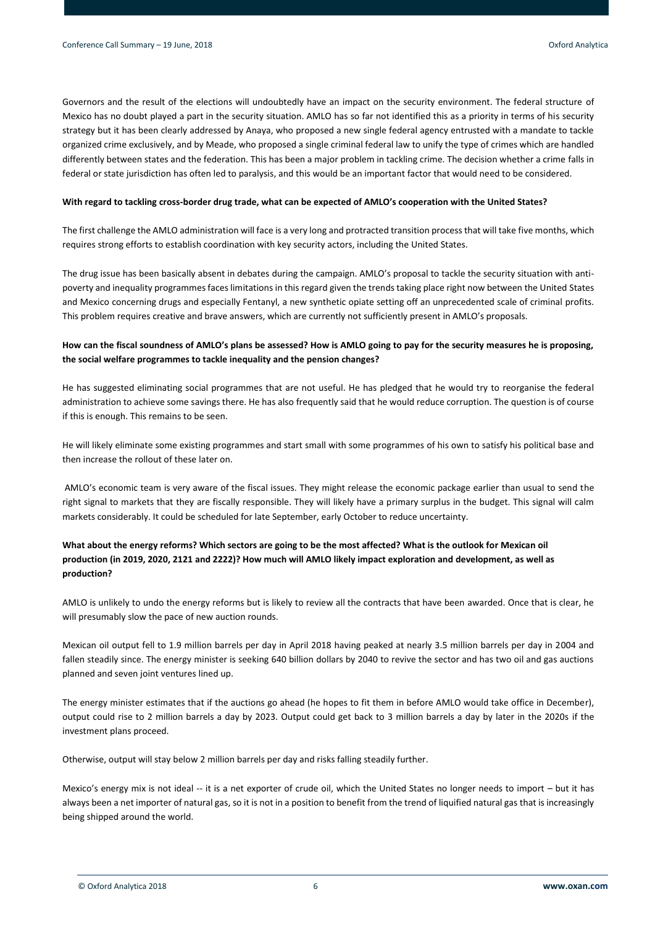Governors and the result of the elections will undoubtedly have an impact on the security environment. The federal structure of Mexico has no doubt played a part in the security situation. AMLO has so far not identified this as a priority in terms of his security strategy but it has been clearly addressed by Anaya, who proposed a new single federal agency entrusted with a mandate to tackle organized crime exclusively, and by Meade, who proposed a single criminal federal law to unify the type of crimes which are handled differently between states and the federation. This has been a major problem in tackling crime. The decision whether a crime falls in federal or state jurisdiction has often led to paralysis, and this would be an important factor that would need to be considered.

#### **With regard to tackling cross-border drug trade, what can be expected of AMLO's cooperation with the United States?**

The first challenge the AMLO administration will face is a very long and protracted transition process that will take five months, which requires strong efforts to establish coordination with key security actors, including the United States.

The drug issue has been basically absent in debates during the campaign. AMLO's proposal to tackle the security situation with antipoverty and inequality programmes faces limitations in this regard given the trends taking place right now between the United States and Mexico concerning drugs and especially Fentanyl, a new synthetic opiate setting off an unprecedented scale of criminal profits. This problem requires creative and brave answers, which are currently not sufficiently present in AMLO's proposals.

## **How can the fiscal soundness of AMLO's plans be assessed? How is AMLO going to pay for the security measures he is proposing, the social welfare programmes to tackle inequality and the pension changes?**

He has suggested eliminating social programmes that are not useful. He has pledged that he would try to reorganise the federal administration to achieve some savings there. He has also frequently said that he would reduce corruption. The question is of course if this is enough. This remains to be seen.

He will likely eliminate some existing programmes and start small with some programmes of his own to satisfy his political base and then increase the rollout of these later on.

AMLO's economic team is very aware of the fiscal issues. They might release the economic package earlier than usual to send the right signal to markets that they are fiscally responsible. They will likely have a primary surplus in the budget. This signal will calm markets considerably. It could be scheduled for late September, early October to reduce uncertainty.

# **What about the energy reforms? Which sectors are going to be the most affected? What is the outlook for Mexican oil production (in 2019, 2020, 2121 and 2222)? How much will AMLO likely impact exploration and development, as well as production?**

AMLO is unlikely to undo the energy reforms but is likely to review all the contracts that have been awarded. Once that is clear, he will presumably slow the pace of new auction rounds.

Mexican oil output fell to 1.9 million barrels per day in April 2018 having peaked at nearly 3.5 million barrels per day in 2004 and fallen steadily since. The energy minister is seeking 640 billion dollars by 2040 to revive the sector and has two oil and gas auctions planned and seven joint ventures lined up.

The energy minister estimates that if the auctions go ahead (he hopes to fit them in before AMLO would take office in December), output could rise to 2 million barrels a day by 2023. Output could get back to 3 million barrels a day by later in the 2020s if the investment plans proceed.

Otherwise, output will stay below 2 million barrels per day and risks falling steadily further.

Mexico's energy mix is not ideal -- it is a net exporter of crude oil, which the United States no longer needs to import – but it has always been a net importer of natural gas, so it is not in a position to benefit from the trend of liquified natural gas that is increasingly being shipped around the world.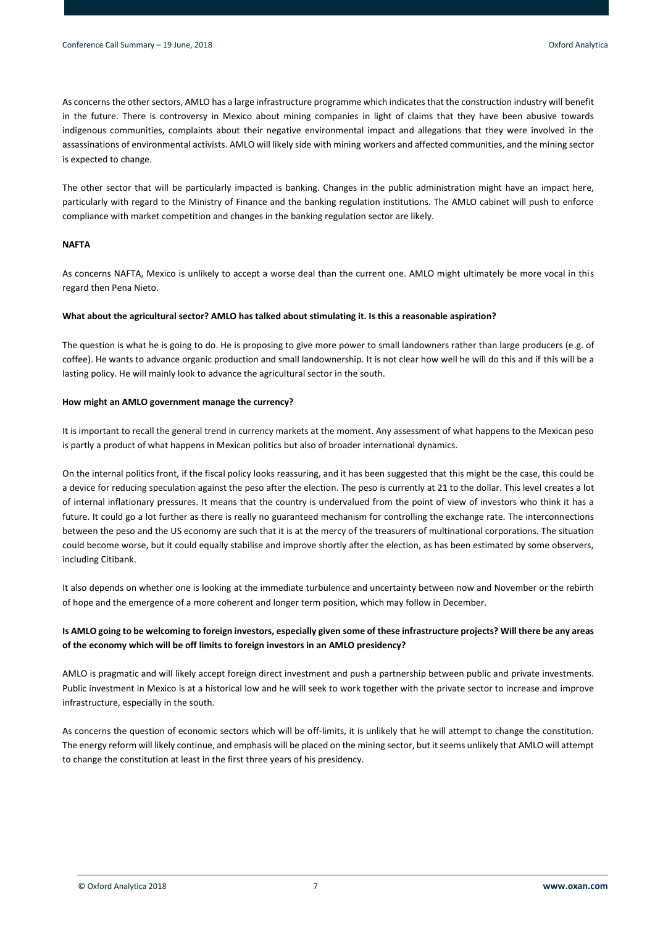As concerns the other sectors, AMLO has a large infrastructure programme which indicates that the construction industry will benefit in the future. There is controversy in Mexico about mining companies in light of claims that they have been abusive towards indigenous communities, complaints about their negative environmental impact and allegations that they were involved in the assassinations of environmental activists. AMLO will likely side with mining workers and affected communities, and the mining sector is expected to change.

The other sector that will be particularly impacted is banking. Changes in the public administration might have an impact here, particularly with regard to the Ministry of Finance and the banking regulation institutions. The AMLO cabinet will push to enforce compliance with market competition and changes in the banking regulation sector are likely.

## **NAFTA**

As concerns NAFTA, Mexico is unlikely to accept a worse deal than the current one. AMLO might ultimately be more vocal in this regard then Pena Nieto.

#### **What about the agricultural sector? AMLO has talked about stimulating it. Is this a reasonable aspiration?**

The question is what he is going to do. He is proposing to give more power to small landowners rather than large producers (e.g. of coffee). He wants to advance organic production and small landownership. It is not clear how well he will do this and if this will be a lasting policy. He will mainly look to advance the agricultural sector in the south.

#### **How might an AMLO government manage the currency?**

It is important to recall the general trend in currency markets at the moment. Any assessment of what happens to the Mexican peso is partly a product of what happens in Mexican politics but also of broader international dynamics.

On the internal politics front, if the fiscal policy looks reassuring, and it has been suggested that this might be the case, this could be a device for reducing speculation against the peso after the election. The peso is currently at 21 to the dollar. This level creates a lot of internal inflationary pressures. It means that the country is undervalued from the point of view of investors who think it has a future. It could go a lot further as there is really no guaranteed mechanism for controlling the exchange rate. The interconnections between the peso and the US economy are such that it is at the mercy of the treasurers of multinational corporations. The situation could become worse, but it could equally stabilise and improve shortly after the election, as has been estimated by some observers, including Citibank.

It also depends on whether one is looking at the immediate turbulence and uncertainty between now and November or the rebirth of hope and the emergence of a more coherent and longer term position, which may follow in December.

# **Is AMLO going to be welcoming to foreign investors, especially given some of these infrastructure projects? Will there be any areas of the economy which will be off limits to foreign investors in an AMLO presidency?**

AMLO is pragmatic and will likely accept foreign direct investment and push a partnership between public and private investments. Public investment in Mexico is at a historical low and he will seek to work together with the private sector to increase and improve infrastructure, especially in the south.

As concerns the question of economic sectors which will be off-limits, it is unlikely that he will attempt to change the constitution. The energy reform will likely continue, and emphasis will be placed on the mining sector, but it seems unlikely that AMLO will attempt to change the constitution at least in the first three years of his presidency.